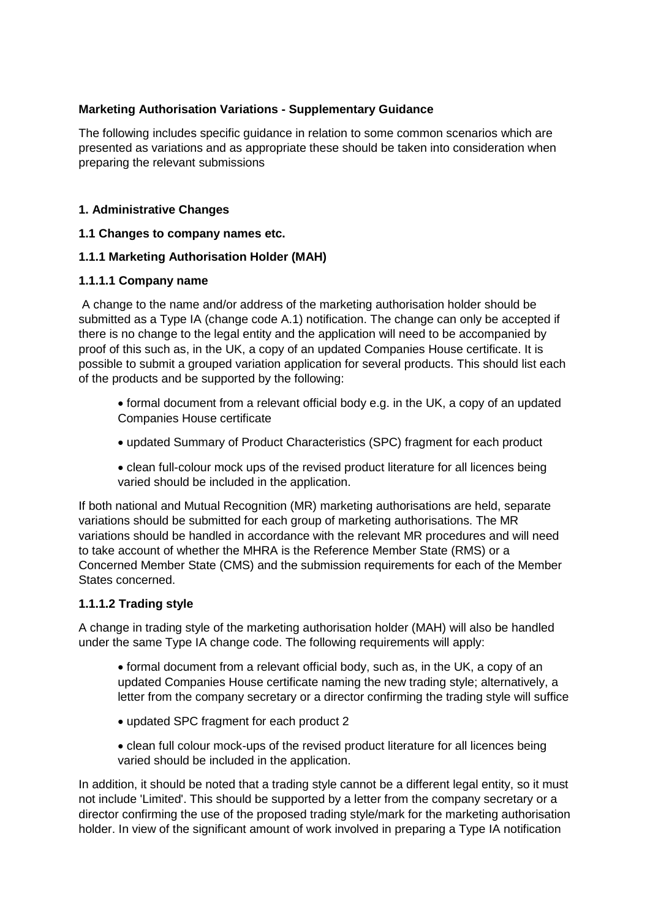## **Marketing Authorisation Variations - Supplementary Guidance**

The following includes specific guidance in relation to some common scenarios which are presented as variations and as appropriate these should be taken into consideration when preparing the relevant submissions

### **1. Administrative Changes**

#### **1.1 Changes to company names etc.**

### **1.1.1 Marketing Authorisation Holder (MAH)**

#### **1.1.1.1 Company name**

A change to the name and/or address of the marketing authorisation holder should be submitted as a Type IA (change code A.1) notification. The change can only be accepted if there is no change to the legal entity and the application will need to be accompanied by proof of this such as, in the UK, a copy of an updated Companies House certificate. It is possible to submit a grouped variation application for several products. This should list each of the products and be supported by the following:

- formal document from a relevant official body e.g. in the UK, a copy of an updated Companies House certificate
- updated Summary of Product Characteristics (SPC) fragment for each product
- clean full-colour mock ups of the revised product literature for all licences being varied should be included in the application.

If both national and Mutual Recognition (MR) marketing authorisations are held, separate variations should be submitted for each group of marketing authorisations. The MR variations should be handled in accordance with the relevant MR procedures and will need to take account of whether the MHRA is the Reference Member State (RMS) or a Concerned Member State (CMS) and the submission requirements for each of the Member States concerned.

#### **1.1.1.2 Trading style**

A change in trading style of the marketing authorisation holder (MAH) will also be handled under the same Type IA change code. The following requirements will apply:

• formal document from a relevant official body, such as, in the UK, a copy of an updated Companies House certificate naming the new trading style; alternatively, a letter from the company secretary or a director confirming the trading style will suffice

- updated SPC fragment for each product 2
- clean full colour mock-ups of the revised product literature for all licences being varied should be included in the application.

In addition, it should be noted that a trading style cannot be a different legal entity, so it must not include 'Limited'. This should be supported by a letter from the company secretary or a director confirming the use of the proposed trading style/mark for the marketing authorisation holder. In view of the significant amount of work involved in preparing a Type IA notification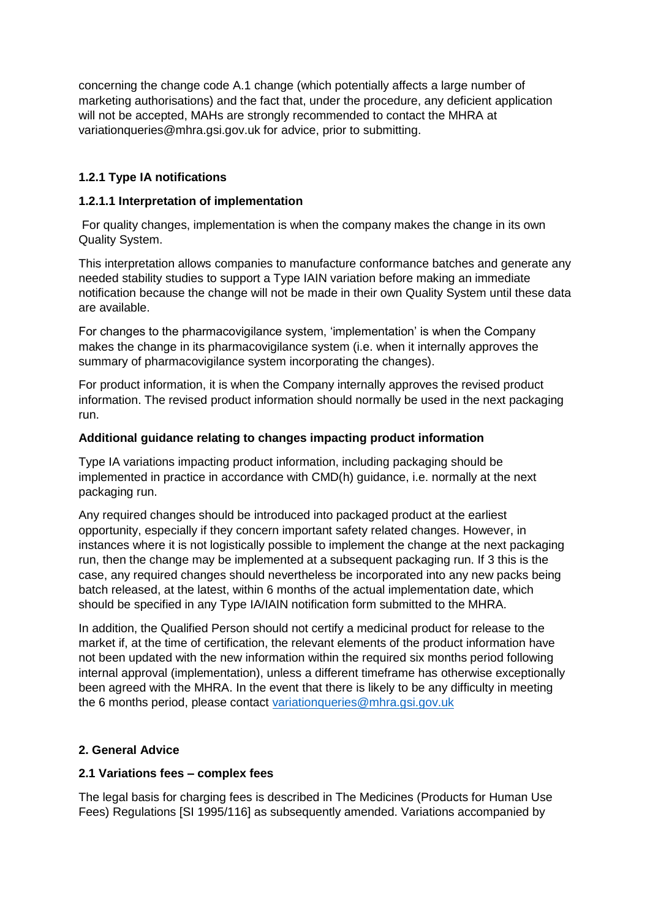concerning the change code A.1 change (which potentially affects a large number of marketing authorisations) and the fact that, under the procedure, any deficient application will not be accepted. MAHs are strongly recommended to contact the MHRA at variationqueries@mhra.gsi.gov.uk for advice, prior to submitting.

# **1.2.1 Type IA notifications**

### **1.2.1.1 Interpretation of implementation**

For quality changes, implementation is when the company makes the change in its own Quality System.

This interpretation allows companies to manufacture conformance batches and generate any needed stability studies to support a Type IAIN variation before making an immediate notification because the change will not be made in their own Quality System until these data are available.

For changes to the pharmacovigilance system, 'implementation' is when the Company makes the change in its pharmacovigilance system (i.e. when it internally approves the summary of pharmacovigilance system incorporating the changes).

For product information, it is when the Company internally approves the revised product information. The revised product information should normally be used in the next packaging run.

#### **Additional guidance relating to changes impacting product information**

Type IA variations impacting product information, including packaging should be implemented in practice in accordance with CMD(h) guidance, i.e. normally at the next packaging run.

Any required changes should be introduced into packaged product at the earliest opportunity, especially if they concern important safety related changes. However, in instances where it is not logistically possible to implement the change at the next packaging run, then the change may be implemented at a subsequent packaging run. If 3 this is the case, any required changes should nevertheless be incorporated into any new packs being batch released, at the latest, within 6 months of the actual implementation date, which should be specified in any Type IA/IAIN notification form submitted to the MHRA.

In addition, the Qualified Person should not certify a medicinal product for release to the market if, at the time of certification, the relevant elements of the product information have not been updated with the new information within the required six months period following internal approval (implementation), unless a different timeframe has otherwise exceptionally been agreed with the MHRA. In the event that there is likely to be any difficulty in meeting the 6 months period, please contact [variationqueries@mhra.gsi.gov.uk](mailto:variationqueries@mhra.gsi.gov.uk)

## **2. General Advice**

#### **2.1 Variations fees – complex fees**

The legal basis for charging fees is described in The Medicines (Products for Human Use Fees) Regulations [SI 1995/116] as subsequently amended. Variations accompanied by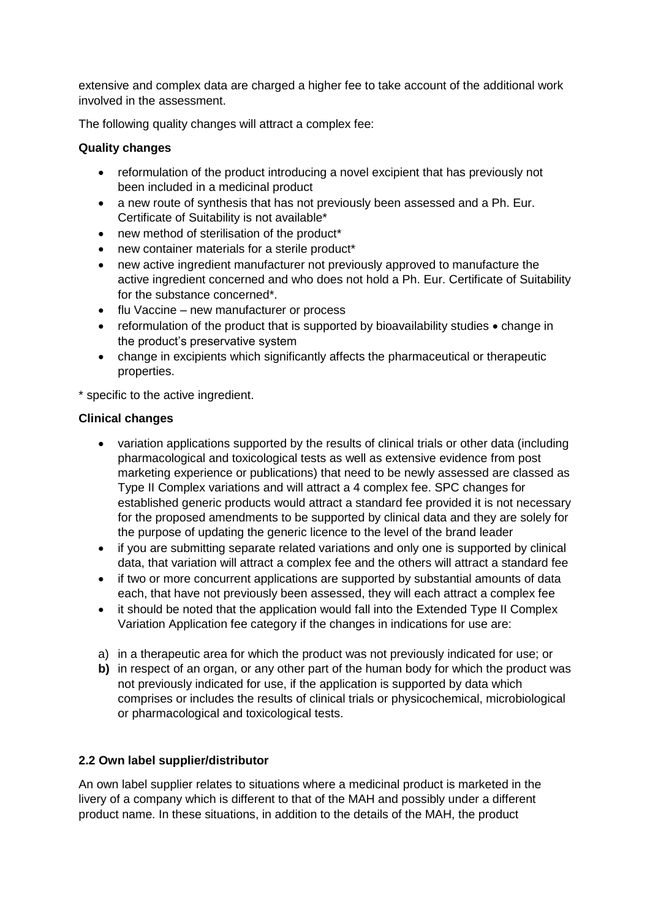extensive and complex data are charged a higher fee to take account of the additional work involved in the assessment.

The following quality changes will attract a complex fee:

### **Quality changes**

- reformulation of the product introducing a novel excipient that has previously not been included in a medicinal product
- a new route of synthesis that has not previously been assessed and a Ph. Eur. Certificate of Suitability is not available\*
- new method of sterilisation of the product\*
- new container materials for a sterile product\*
- new active ingredient manufacturer not previously approved to manufacture the active ingredient concerned and who does not hold a Ph. Eur. Certificate of Suitability for the substance concerned\*.
- flu Vaccine new manufacturer or process
- reformulation of the product that is supported by bioavailability studies change in the product's preservative system
- change in excipients which significantly affects the pharmaceutical or therapeutic properties.

\* specific to the active ingredient.

### **Clinical changes**

- variation applications supported by the results of clinical trials or other data (including pharmacological and toxicological tests as well as extensive evidence from post marketing experience or publications) that need to be newly assessed are classed as Type II Complex variations and will attract a 4 complex fee. SPC changes for established generic products would attract a standard fee provided it is not necessary for the proposed amendments to be supported by clinical data and they are solely for the purpose of updating the generic licence to the level of the brand leader
- if you are submitting separate related variations and only one is supported by clinical data, that variation will attract a complex fee and the others will attract a standard fee
- if two or more concurrent applications are supported by substantial amounts of data each, that have not previously been assessed, they will each attract a complex fee
- it should be noted that the application would fall into the Extended Type II Complex Variation Application fee category if the changes in indications for use are:
- a) in a therapeutic area for which the product was not previously indicated for use; or
- **b)** in respect of an organ, or any other part of the human body for which the product was not previously indicated for use, if the application is supported by data which comprises or includes the results of clinical trials or physicochemical, microbiological or pharmacological and toxicological tests.

## **2.2 Own label supplier/distributor**

An own label supplier relates to situations where a medicinal product is marketed in the livery of a company which is different to that of the MAH and possibly under a different product name. In these situations, in addition to the details of the MAH, the product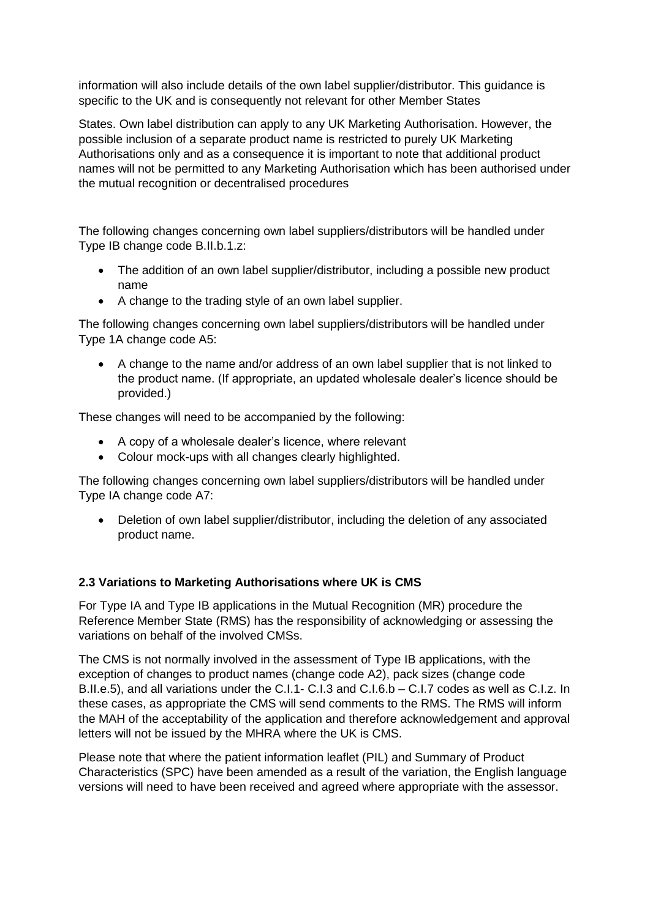information will also include details of the own label supplier/distributor. This guidance is specific to the UK and is consequently not relevant for other Member States

States. Own label distribution can apply to any UK Marketing Authorisation. However, the possible inclusion of a separate product name is restricted to purely UK Marketing Authorisations only and as a consequence it is important to note that additional product names will not be permitted to any Marketing Authorisation which has been authorised under the mutual recognition or decentralised procedures

The following changes concerning own label suppliers/distributors will be handled under Type IB change code B.II.b.1.z:

- The addition of an own label supplier/distributor, including a possible new product name
- A change to the trading style of an own label supplier.

The following changes concerning own label suppliers/distributors will be handled under Type 1A change code A5:

• A change to the name and/or address of an own label supplier that is not linked to the product name. (If appropriate, an updated wholesale dealer's licence should be provided.)

These changes will need to be accompanied by the following:

- A copy of a wholesale dealer's licence, where relevant
- Colour mock-ups with all changes clearly highlighted.

The following changes concerning own label suppliers/distributors will be handled under Type IA change code A7:

• Deletion of own label supplier/distributor, including the deletion of any associated product name.

## **2.3 Variations to Marketing Authorisations where UK is CMS**

For Type IA and Type IB applications in the Mutual Recognition (MR) procedure the Reference Member State (RMS) has the responsibility of acknowledging or assessing the variations on behalf of the involved CMSs.

The CMS is not normally involved in the assessment of Type IB applications, with the exception of changes to product names (change code A2), pack sizes (change code B.II.e.5), and all variations under the C.I.1- C.I.3 and C.I.6.b – C.I.7 codes as well as C.I.z. In these cases, as appropriate the CMS will send comments to the RMS. The RMS will inform the MAH of the acceptability of the application and therefore acknowledgement and approval letters will not be issued by the MHRA where the UK is CMS.

Please note that where the patient information leaflet (PIL) and Summary of Product Characteristics (SPC) have been amended as a result of the variation, the English language versions will need to have been received and agreed where appropriate with the assessor.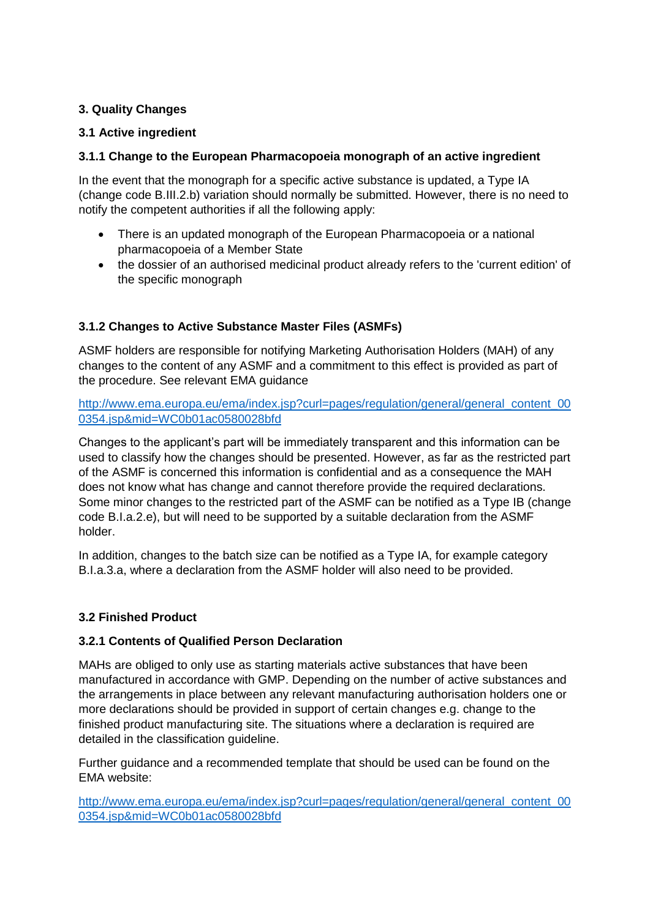### **3. Quality Changes**

### **3.1 Active ingredient**

### **3.1.1 Change to the European Pharmacopoeia monograph of an active ingredient**

In the event that the monograph for a specific active substance is updated, a Type IA (change code B.III.2.b) variation should normally be submitted. However, there is no need to notify the competent authorities if all the following apply:

- There is an updated monograph of the European Pharmacopoeia or a national pharmacopoeia of a Member State
- the dossier of an authorised medicinal product already refers to the 'current edition' of the specific monograph

## **3.1.2 Changes to Active Substance Master Files (ASMFs)**

ASMF holders are responsible for notifying Marketing Authorisation Holders (MAH) of any changes to the content of any ASMF and a commitment to this effect is provided as part of the procedure. See relevant EMA guidance

[http://www.ema.europa.eu/ema/index.jsp?curl=pages/regulation/general/general\\_content\\_00](http://www.ema.europa.eu/ema/index.jsp?curl=pages/regulation/general/general_content_000354.jsp&mid=WC0b01ac0580028bfd) [0354.jsp&mid=WC0b01ac0580028bfd](http://www.ema.europa.eu/ema/index.jsp?curl=pages/regulation/general/general_content_000354.jsp&mid=WC0b01ac0580028bfd)

Changes to the applicant's part will be immediately transparent and this information can be used to classify how the changes should be presented. However, as far as the restricted part of the ASMF is concerned this information is confidential and as a consequence the MAH does not know what has change and cannot therefore provide the required declarations. Some minor changes to the restricted part of the ASMF can be notified as a Type IB (change code B.I.a.2.e), but will need to be supported by a suitable declaration from the ASMF holder.

In addition, changes to the batch size can be notified as a Type IA, for example category B.I.a.3.a, where a declaration from the ASMF holder will also need to be provided.

#### **3.2 Finished Product**

#### **3.2.1 Contents of Qualified Person Declaration**

MAHs are obliged to only use as starting materials active substances that have been manufactured in accordance with GMP. Depending on the number of active substances and the arrangements in place between any relevant manufacturing authorisation holders one or more declarations should be provided in support of certain changes e.g. change to the finished product manufacturing site. The situations where a declaration is required are detailed in the classification guideline.

Further guidance and a recommended template that should be used can be found on the EMA website:

[http://www.ema.europa.eu/ema/index.jsp?curl=pages/regulation/general/general\\_content\\_00](http://www.ema.europa.eu/ema/index.jsp?curl=pages/regulation/general/general_content_000354.jsp&mid=WC0b01ac0580028bfd) [0354.jsp&mid=WC0b01ac0580028bfd](http://www.ema.europa.eu/ema/index.jsp?curl=pages/regulation/general/general_content_000354.jsp&mid=WC0b01ac0580028bfd)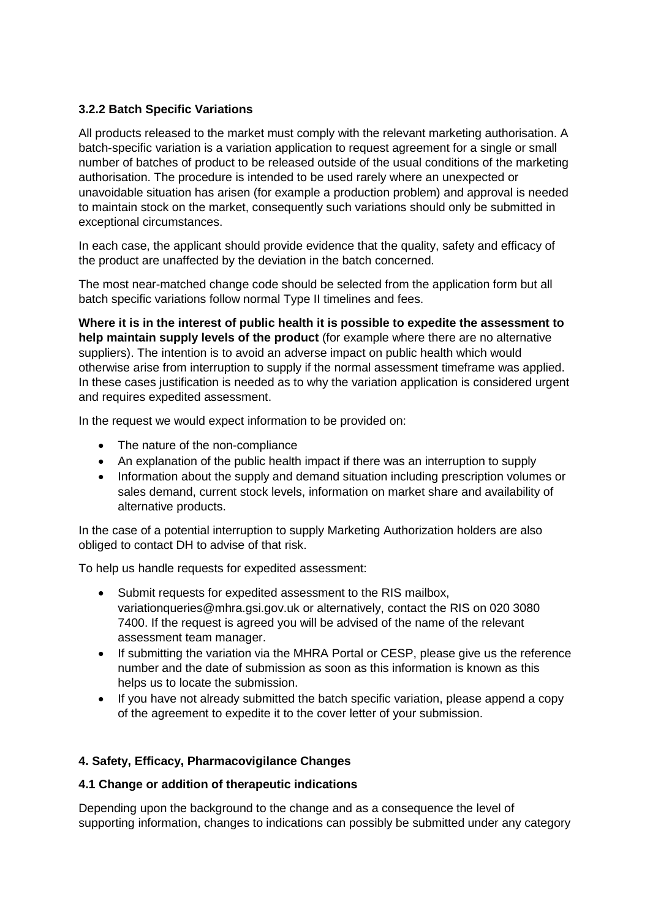## **3.2.2 Batch Specific Variations**

All products released to the market must comply with the relevant marketing authorisation. A batch-specific variation is a variation application to request agreement for a single or small number of batches of product to be released outside of the usual conditions of the marketing authorisation. The procedure is intended to be used rarely where an unexpected or unavoidable situation has arisen (for example a production problem) and approval is needed to maintain stock on the market, consequently such variations should only be submitted in exceptional circumstances.

In each case, the applicant should provide evidence that the quality, safety and efficacy of the product are unaffected by the deviation in the batch concerned.

The most near-matched change code should be selected from the application form but all batch specific variations follow normal Type II timelines and fees.

**Where it is in the interest of public health it is possible to expedite the assessment to help maintain supply levels of the product** (for example where there are no alternative suppliers). The intention is to avoid an adverse impact on public health which would otherwise arise from interruption to supply if the normal assessment timeframe was applied. In these cases justification is needed as to why the variation application is considered urgent and requires expedited assessment.

In the request we would expect information to be provided on:

- The nature of the non-compliance
- An explanation of the public health impact if there was an interruption to supply
- Information about the supply and demand situation including prescription volumes or sales demand, current stock levels, information on market share and availability of alternative products.

In the case of a potential interruption to supply Marketing Authorization holders are also obliged to contact DH to advise of that risk.

To help us handle requests for expedited assessment:

- Submit requests for expedited assessment to the RIS mailbox, variationqueries@mhra.gsi.gov.uk or alternatively, contact the RIS on 020 3080 7400. If the request is agreed you will be advised of the name of the relevant assessment team manager.
- If submitting the variation via the MHRA Portal or CESP, please give us the reference number and the date of submission as soon as this information is known as this helps us to locate the submission.
- If you have not already submitted the batch specific variation, please append a copy of the agreement to expedite it to the cover letter of your submission.

## **4. Safety, Efficacy, Pharmacovigilance Changes**

#### **4.1 Change or addition of therapeutic indications**

Depending upon the background to the change and as a consequence the level of supporting information, changes to indications can possibly be submitted under any category